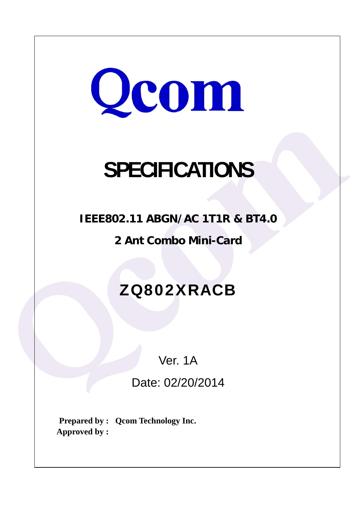

# **SPECIFICATIONS**

**IEEE802.11 ABGN/AC 1T1R & BT4.0** 

**2 Ant Combo Mini-Card** 

# ZQ802XRACB

Ver. 1A

Date: 02/20/2014

**Prepared by : Qcom Technology Inc. Approved by :**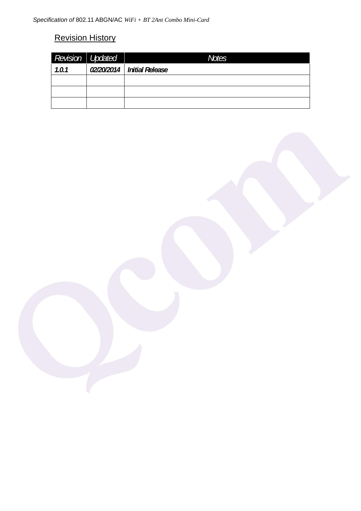## Revision History

| Revision Updated | Notes                        |
|------------------|------------------------------|
| 1.0.1            | 02/20/2014   Initial Release |
|                  |                              |
|                  |                              |
|                  |                              |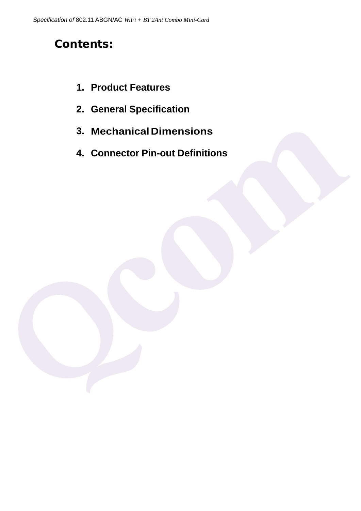# **Contents:**

- **1. Product Features**
- **2. General Specification**
- **3. MechanicalDimensions**
- **4. Connector Pin-out Definitions**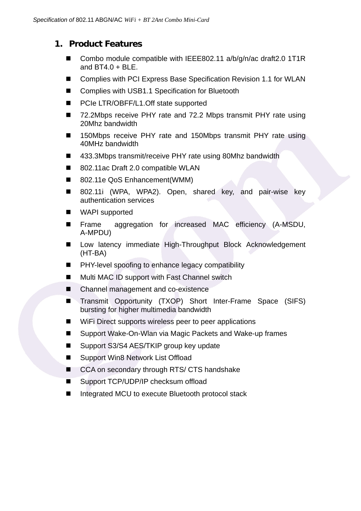#### **1. Product Features**

- Combo module compatible with IEEE802.11 a/b/g/n/ac draft2.0 1T1R and  $BT4.0 + BLE$ .
- Complies with PCI Express Base Specification Revision 1.1 for WLAN
- Complies with USB1.1 Specification for Bluetooth
- PCIe LTR/OBFF/L1.Off state supported
- 72.2Mbps receive PHY rate and 72.2 Mbps transmit PHY rate using 20Mhz bandwidth
- 150Mbps receive PHY rate and 150Mbps transmit PHY rate using 40MHz bandwidth
- 433.3Mbps transmit/receive PHY rate using 80Mhz bandwidth
- 802.11ac Draft 2.0 compatible WLAN
- 802.11e QoS Enhancement(WMM)
- 802.11i (WPA, WPA2). Open, shared key, and pair-wise key authentication services
- WAPI supported
- **Fiame** aggregation for increased MAC efficiency (A-MSDU, A-MPDU)
- Low latency immediate High-Throughput Block Acknowledgement (HT-BA)
- **PHY-level spoofing to enhance legacy compatibility**
- Multi MAC ID support with Fast Channel switch
- Channel management and co-existence
- Transmit Opportunity (TXOP) Short Inter-Frame Space (SIFS) bursting for higher multimedia bandwidth
- WiFi Direct supports wireless peer to peer applications
- Support Wake-On-Wlan via Magic Packets and Wake-up frames
- Support S3/S4 AES/TKIP group key update
- Support Win8 Network List Offload
- CCA on secondary through RTS/ CTS handshake
- Support TCP/UDP/IP checksum offload
- Integrated MCU to execute Bluetooth protocol stack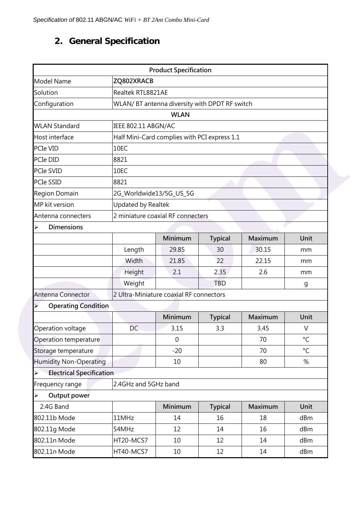## **2. General Specification**

| <b>Product Specification</b>                             |                                               |                                         |                |         |              |  |
|----------------------------------------------------------|-----------------------------------------------|-----------------------------------------|----------------|---------|--------------|--|
| <b>Model Name</b>                                        | ZQ802XRACB                                    |                                         |                |         |              |  |
| Solution                                                 | Realtek RTL8821AE                             |                                         |                |         |              |  |
| Configuration                                            | WLAN/BT antenna diversity with DPDT RF switch |                                         |                |         |              |  |
|                                                          |                                               | <b>WLAN</b>                             |                |         |              |  |
| <b>WLAN Standard</b>                                     | IEEE 802.11 ABGN/AC                           |                                         |                |         |              |  |
| Host interface                                           | Half Mini-Card complies with PCI express 1.1  |                                         |                |         |              |  |
| PCIe VID                                                 | 10EC                                          |                                         |                |         |              |  |
| PCIe DID                                                 | 8821                                          |                                         |                |         |              |  |
| PCIe SVID                                                | 10EC                                          |                                         |                |         |              |  |
| <b>PCIe SSID</b>                                         | 8821                                          |                                         |                |         |              |  |
| Region Domain                                            | 2G_Worldwide13/5G_US_5G                       |                                         |                |         |              |  |
| MP kit version                                           | Updated by Realtek                            |                                         |                |         |              |  |
| Antenna connecters                                       |                                               | 2 miniature coaxial RF connecters       |                |         |              |  |
| <b>Dimensions</b><br>➤                                   |                                               |                                         |                |         |              |  |
|                                                          |                                               | Minimum                                 | <b>Typical</b> | Maximum | Unit         |  |
|                                                          | Length                                        | 29.85                                   | 30             | 30.15   | mm           |  |
|                                                          | Width                                         | 21.85                                   | 22             | 22.15   | mm           |  |
|                                                          | Height                                        | 2.1                                     | 2.35           | 2.6     | mm           |  |
|                                                          | Weight                                        |                                         | <b>TBD</b>     |         | g            |  |
| Antenna Connector                                        |                                               | 2 Ultra-Miniature coaxial RF connectors |                |         |              |  |
| <b>Operating Condition</b><br>≻                          |                                               |                                         |                |         |              |  |
|                                                          |                                               | Minimum                                 | <b>Typical</b> | Maximum | Unit         |  |
| Operation voltage                                        | DC                                            | 3.15                                    | 3.3            | 3.45    | $\vee$       |  |
| Operation temperature                                    |                                               | $\mathbf 0$                             |                | 70      | $^{\circ}$ C |  |
| Storage temperature                                      |                                               | $-20$                                   |                | 70      | $^{\circ}$ C |  |
| <b>Humidity Non-Operating</b>                            |                                               | 10                                      |                | 80      | %            |  |
| <b>Electrical Specification</b><br>$\blacktriangleright$ |                                               |                                         |                |         |              |  |
| Frequency range                                          | 2.4GHz and 5GHz band                          |                                         |                |         |              |  |
| Output power<br>$\blacktriangle$                         |                                               |                                         |                |         |              |  |
| 2.4G Band                                                |                                               | Minimum                                 | <b>Typical</b> | Maximum | Unit         |  |
| 802.11b Mode                                             | 11MHz                                         | 14                                      | 16             | 18      | dBm          |  |
| 802.11g Mode                                             | 54MHz                                         | 12                                      | 14             | 16      | dBm          |  |
| 802.11n Mode                                             | HT20-MCS7                                     | 10                                      | 12             | 14      | dBm          |  |
| 802.11n Mode                                             | HT40-MCS7                                     | 10                                      | 12             | 14      | dBm          |  |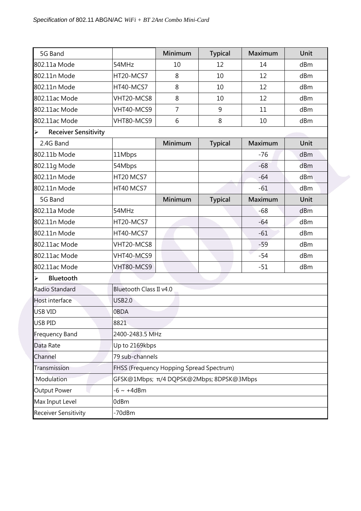| 5G Band                                              |                                          | Minimum         | <b>Typical</b> | Maximum | Unit |  |
|------------------------------------------------------|------------------------------------------|-----------------|----------------|---------|------|--|
| 802.11a Mode                                         | 54MHz                                    | 10              | 12             | 14      | dBm  |  |
| 802.11n Mode                                         | HT20-MCS7                                | 8               | 10             | 12      | dBm  |  |
| 802.11n Mode                                         | HT40-MCS7                                | 8               | 10             | 12      | dBm  |  |
| 802.11ac Mode                                        | VHT20-MCS8                               | 8               | 10             | 12      | dBm  |  |
| 802.11ac Mode                                        | VHT40-MCS9                               | $\overline{7}$  | 9              | 11      | dBm  |  |
| 802.11ac Mode                                        | VHT80-MCS9                               | 6               | 8              | 10      | dBm  |  |
| <b>Receiver Sensitivity</b><br>$\blacktriangleright$ |                                          |                 |                |         |      |  |
| 2.4G Band                                            |                                          | Minimum         | <b>Typical</b> | Maximum | Unit |  |
| 802.11b Mode                                         | 11Mbps                                   |                 |                | $-76$   | dBm  |  |
| 802.11g Mode                                         | 54Mbps                                   |                 |                | $-68$   | dBm  |  |
| 802.11n Mode                                         | HT20 MCS7                                |                 |                | $-64$   | dBm  |  |
| 802.11n Mode                                         | HT40 MCS7                                |                 |                | $-61$   | dBm  |  |
| 5G Band                                              |                                          | Minimum         | <b>Typical</b> | Maximum | Unit |  |
| 802.11a Mode                                         | 54MHz                                    |                 |                | $-68$   | dBm  |  |
| 802.11n Mode                                         | HT20-MCS7                                |                 |                | $-64$   | dBm  |  |
| 802.11n Mode                                         | HT40-MCS7                                |                 |                | $-61$   | dBm  |  |
| 802.11ac Mode                                        | VHT20-MCS8                               |                 |                | $-59$   | dBm  |  |
| 802.11ac Mode                                        | VHT40-MCS9                               |                 |                | $-54$   | dBm  |  |
| 802.11ac Mode                                        | VHT80-MCS9                               |                 |                | $-51$   | dBm  |  |
| Bluetooth<br>$\blacktriangleright$                   |                                          |                 |                |         |      |  |
| Radio Standard                                       | Bluetooth Class II v4.0                  |                 |                |         |      |  |
| Host interface                                       | <b>USB2.0</b>                            |                 |                |         |      |  |
| USB VID                                              | 0BDA                                     |                 |                |         |      |  |
| USB PID                                              |                                          |                 |                |         |      |  |
| <b>Frequency Band</b>                                |                                          | 2400-2483.5 MHz |                |         |      |  |
| Data Rate                                            | Up to 2169kbps                           |                 |                |         |      |  |
| Channel                                              | 79 sub-channels                          |                 |                |         |      |  |
| Transmission                                         | FHSS (Frequency Hopping Spread Spectrum) |                 |                |         |      |  |
| Modulation                                           | GFSK@1Mbps; π/4 DQPSK@2Mbps; 8DPSK@3Mbps |                 |                |         |      |  |
| <b>Output Power</b>                                  | $-6 \sim +4$ dBm                         |                 |                |         |      |  |
| Max Input Level                                      | 0dBm                                     |                 |                |         |      |  |
| <b>Receiver Sensitivity</b>                          | -70dBm                                   |                 |                |         |      |  |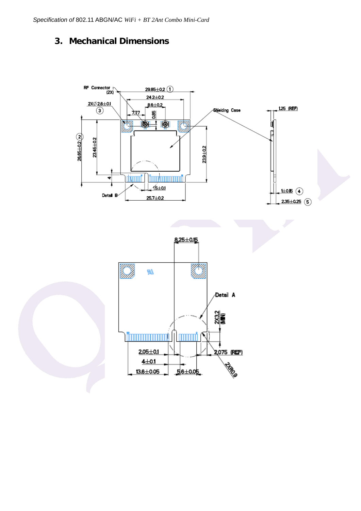#### **3. Mechanical Dimensions**

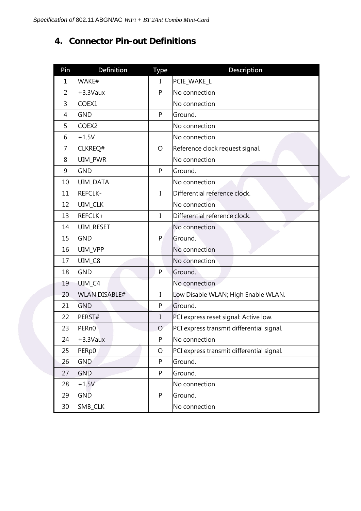#### **4. Connector Pin-out Definitions**

| Pin            | <b>Definition</b>    | <b>Type</b>  | Description                               |
|----------------|----------------------|--------------|-------------------------------------------|
| $\mathbf{1}$   | WAKE#                | $\mathbf I$  | PCIE_WAKE_L                               |
| $\overline{2}$ | $+3.3$ Vaux          | P            | No connection                             |
| 3              | COEX1                |              | No connection                             |
| 4              | <b>GND</b>           | P            | Ground.                                   |
| 5              | COEX2                |              | No connection                             |
| 6              | $+1.5V$              |              | No connection                             |
| 7              | CLKREQ#              | O            | Reference clock request signal.           |
| 8              | UIM_PWR              |              | No connection                             |
| 9              | <b>GND</b>           | P            | Ground.                                   |
| 10             | UIM_DATA             |              | No connection                             |
| 11             | REFCLK-              | I            | Differential reference clock.             |
| 12             | UIM_CLK              |              | No connection                             |
| 13             | REFCLK+              | $\mathbf{I}$ | Differential reference clock.             |
| 14             | UIM_RESET            |              | No connection                             |
| 15             | <b>GND</b>           | P            | Ground.                                   |
| 16             | UIM_VPP              |              | No connection                             |
| 17             | UIM_C8               |              | No connection                             |
| 18             | <b>GND</b>           | P            | Ground.                                   |
| 19             | UIM_C4               |              | No connection                             |
| 20             | <b>WLAN DISABLE#</b> | I            | Low Disable WLAN; High Enable WLAN.       |
| 21             | <b>GND</b>           | P            | Ground.                                   |
| 22             | PERST#               | I            | PCI express reset signal: Active low.     |
| 23             | PER <sub>n0</sub>    | O            | PCI express transmit differential signal. |
| 24             | $+3.3$ Vaux          | P            | No connection                             |
| 25             | PERp0                | $\circ$      | PCI express transmit differential signal. |
| 26             | GND                  | P            | Ground.                                   |
| 27             | <b>GND</b>           | P            | Ground.                                   |
| 28             | $+1.5V$              |              | No connection                             |
| 29             | GND                  | P            | Ground.                                   |
| 30             | SMB_CLK              |              | No connection                             |